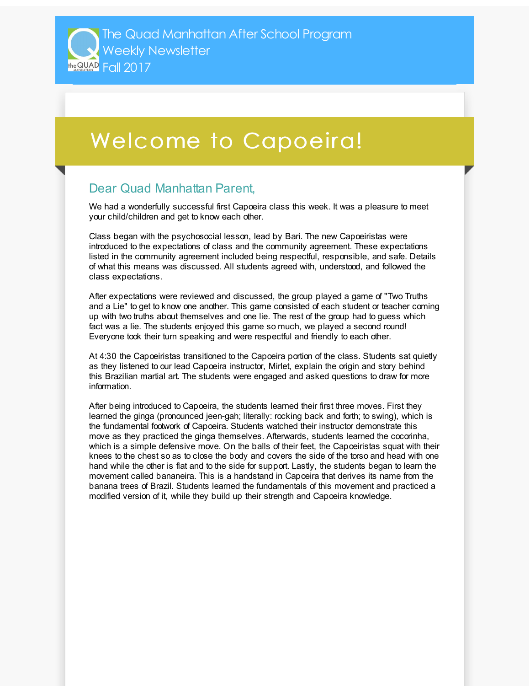## Welcome to Capoeira!

## Dear Quad Manhattan Parent,

We had a wonderfully successful first Capoeira class this week. It was a pleasure to meet your child/children and get to know each other.

Class began with the psychosocial lesson, lead by Bari. The new Capoeiristas were introduced to the expectations of class and the community agreement. These expectations listed in the community agreement included being respectful, responsible, and safe. Details of what this means was discussed. All students agreed with, understood, and followed the class expectations.

After expectations were reviewed and discussed, the group played a game of "Two Truths and a Lie" to get to know one another. This game consisted of each student or teacher coming up with two truths about themselves and one lie. The rest of the group had to guess which fact was a lie. The students enjoyed this game so much, we played a second round! Everyone took their turn speaking and were respectful and friendly to each other.

At 4:30 the Capoeiristas transitioned to the Capoeira portion of the class. Students sat quietly as they listened to our lead Capoeira instructor, Mirlet, explain the origin and story behind this Brazilian martial art. The students were engaged and asked questions to draw for more information.

After being introduced to Capoeira, the students learned their first three moves. First they learned the ginga (pronounced jeen-gah; literally: rocking back and forth; to swing), which is the fundamental footwork of Capoeira. Students watched their instructor demonstrate this move as they practiced the ginga themselves. Afterwards, students learned the cocorinha, which is a simple defensive move. On the balls of their feet, the Capoeiristas squat with their knees to the chest so as to close the body and covers the side of the torso and head with one hand while the other is flat and to the side for support. Lastly, the students began to learn the movement called bananeira. This is a handstand in Capoeira that derives its name from the banana trees of Brazil. Students learned the fundamentals of this movement and practiced a modified version of it, while they build up their strength and Capoeira knowledge.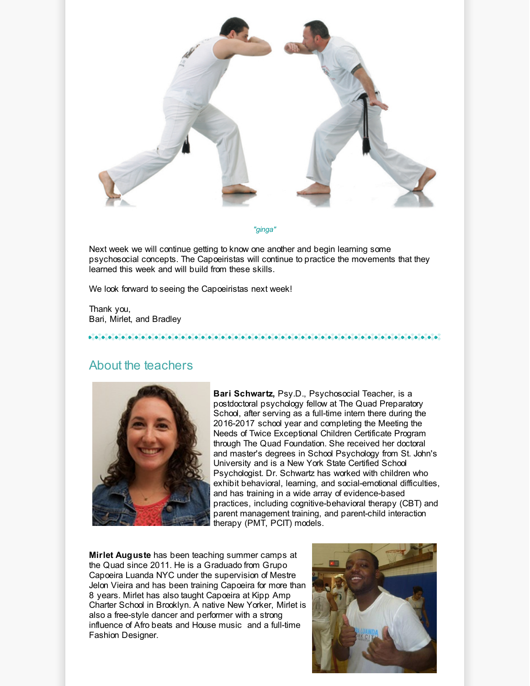

*"ginga"*

Next week we will continue getting to know one another and begin learning some psychosocial concepts. The Capoeiristas will continue to practice the movements that they learned this week and will build from these skills.

We look forward to seeing the Capoeiristas next week!

Thank you, Bari, Mirlet, and Bradley

## About the teachers



**Bari Schwartz,** Psy.D., Psychosocial Teacher, is a postdoctoral psychology fellow at The Quad Preparatory School, after serving as a full-time intern there during the 2016-2017 school year and completing the Meeting the Needs of Twice Exceptional Children Certificate Program through The Quad Foundation. She received her doctoral and master's degrees in School Psychology from St. John's University and is a New York State Certified School Psychologist. Dr. Schwartz has worked with children who exhibit behavioral, learning, and social-emotional difficulties, and has training in a wide array of evidence-based practices, including cognitive-behavioral therapy (CBT) and parent management training, and parent-child interaction therapy (PMT, PCIT) models.

**Mirlet Auguste** has been teaching summer camps at the Quad since 2011. He is a Graduado from Grupo Capoeira Luanda NYC under the supervision of Mestre Jelon Vieira and has been training Capoeira for more than 8 years. Mirlet has also taught Capoeira at Kipp Amp Charter School in Brooklyn. A native New Yorker, Mirlet is also a free-style dancer and performer with a strong influence of Afro beats and House music and a full-time Fashion Designer.